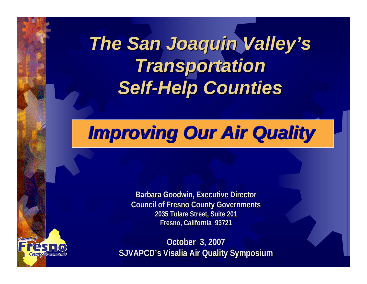# *The San Joaquin Valley's The San Joaquin Valley's Transportation Transportation*  **Self-Help Counties**

# *Improving Our Air Quality Improving Our Air Quality Improving Our Air Quality*

**Barbara Goodwin, Executive Director Barbara Goodwin, Executive Director Council of Fresno County Governments Council of Fresno County Governments 2035 Tulare Street, Suite 201 2035 Tulare Street, Suite 201 Fresno, California 93721 Fresno, California 93721**

Connello

**October 3, 2007 October 3, 2007 SJVAPCD's SJVAPCD's Visalia Air Quality Symposium Visalia Air Quality Symposium**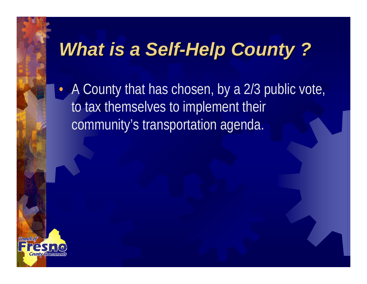# **What is a Self-Help County ?**

• A County that has chosen, by a 2/3 public vote, to tax themselves to implement their community's transportation agenda.

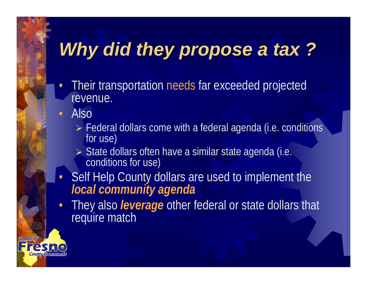# Why did they propose a tax ?

- • Their transportation needs far exceeded projected revenue.
- • Also
	- ¾ Federal dollars come with a federal agenda (i.e. conditions for use)
	- ¾ State dollars often have a similar state agenda (i.e. conditions for use)
- • Self Help County dollars are used to implement the *local community agenda*
- • They also *leverage* other federal or state dollars that require match

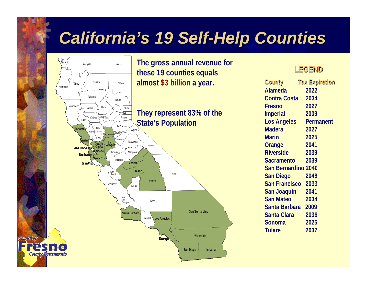### **California's 19 Self-Help Counties**

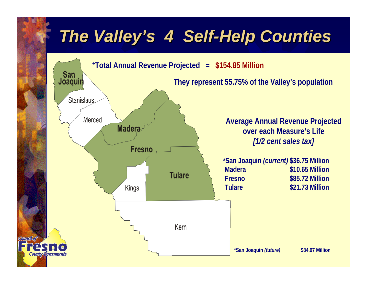### *The Valley's 4 Self-Help Counties*

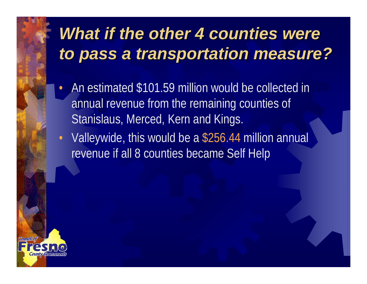### **What if the other 4 counties were** *to pass a transportation measure? to pass a transportation measure?*

- • An estimated \$101.59 million would be collected in annual revenue from the remaining counties of Stanislaus, Merced, Kern and Kings.
- • Valleywide, this would be a \$256.44 million annual revenue if all 8 counties became Self Help

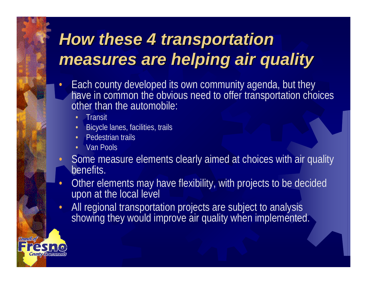## **How these 4 transportation** *measures are helping air quality measures are helping air quality*

- • Each county developed its own community agenda, but they have in common the obvious need to offer transportation choices other than the automobile:
	- •**Transit**
	- •Bicycle lanes, facilities, trails
	- •Pedestrian trails
	- •Van Pools
- • Some measure elements clearly aimed at choices with air quality benefits.
- • Other elements may have flexibility, with projects to be decided upon at the local level
- •All regional transportation projects are subject to analysis showing they would improve air quality when implemented.

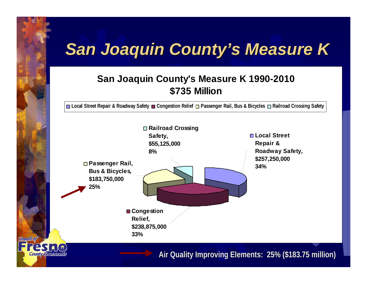## *San Joaquin County's Measure K San Joaquin County's Measure K*

#### **San Joaquin County's Measure K 1990-2010 \$735 Million**

**Local Street Repair & Roadway Safety Congestion Relief Passenger Rail, Bus & Bicycles Railroad Crossing Safety**



Comollof

**Air Quality Improving Elements: 25% (\$183.75 million) Air Quality Improving Elements: 25% (\$183.75 million)**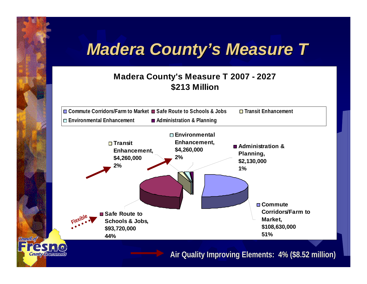### *Madera County's Measure T Madera County's Measure T*

#### **Madera County's Measure T 2007 - 2027 \$213 Million**



Connellon

**Air Quality Improving Elements: 4% (\$8.52 million)**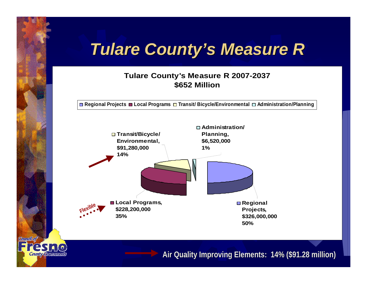### *Tulare County's Measure R Tulare County's Measure R*

#### **Tulare County's Measure R 2007-2037 \$652 Million**

**□ Regional Projects ■ Local Programs □ Transit/ Bicycle/Environmental □ Administration/Planning** 



Councilor

**County, Governments** 

**Air Quality Improving Elements: 14% (\$91.28 million) Air Quality Improving Elements: 14% (\$91.28 million)**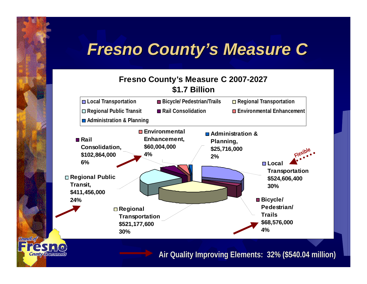### *Fresno County's Measure C Fresno County's Measure C*

#### **Fresno County's Measure C 2007-2027 \$1.7 Billion**



Comolor

**County** Government

**Air Quality Improving Elements: 32% (\$540.04 million) Air Quality Improving Elements: 32% (\$540.04 million)**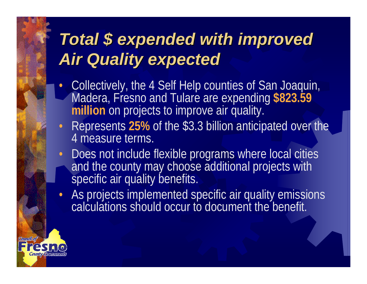## *Total \$ expended with improved Total \$ expended with improved Air Quality expected Air Quality expected*

- • Collectively, the 4 Self Help counties of San Joaquin, Madera, Fresno and Tulare are expending **\$823.59 million** on projects to improve air quality.
- Represents **25%** of the \$3.3 billion anticipated over the 4 measure terms.
- •Does not include flexible programs where local cities and the county may choose additional projects with specific air quality benefits.
- As projects implemented specific air quality emissions calculations should occur to document the benefit.

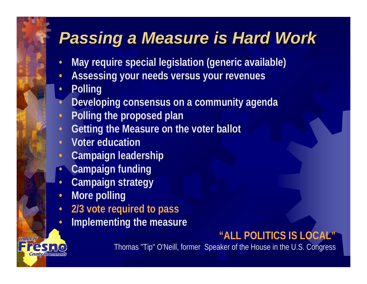### *Passing a Measure is Hard Work Passing a Measure is Hard Work*

- •**May require special legislation (generic available)**
- •**Assessing your needs versus your revenues**
- •**Polling**
- •**Developing consensus on a community agenda**
- •**Polling the proposed plan**
- •**Getting the Measure on the voter ballot**
- •**Voter education**
- •**Campaign leadership**
- •**Campaign funding**
- •**Campaign strategy**
- •**More polling**
- •**2/3 vote required to pass**
- •**Implementing the measure**

### **"ALL POLITICS IS LOCAL"**

Thomas "Tip" O'Neill, former Speaker of the House in the U.S. Congress